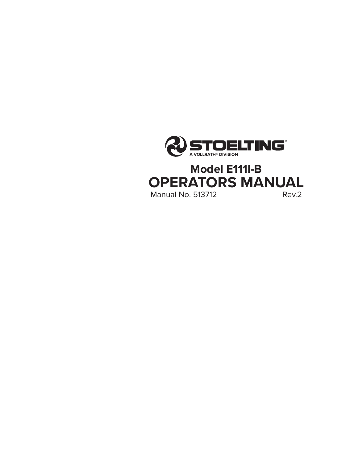

**OPERATORS MANUAL**<br>Manual No. 513712

**Manual No. 513712**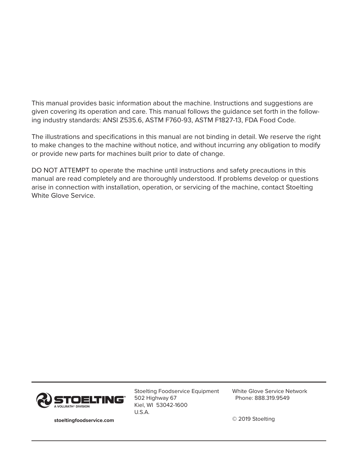This manual provides basic information about the machine. Instructions and suggestions are given covering its operation and care. This manual follows the guidance set forth in the following industry standards: ANSI Z535.6, ASTM F760-93, ASTM F1827-13, FDA Food Code.

The illustrations and specifications in this manual are not binding in detail. We reserve the right to make changes to the machine without notice, and without incurring any obligation to modify or provide new parts for machines built prior to date of change.

DO NOT ATTEMPT to operate the machine until instructions and safety precautions in this manual are read completely and are thoroughly understood. If problems develop or questions arise in connection with installation, operation, or servicing of the machine, contact Stoelting White Glove Service.



Stoelting Foodservice Equipment 502 Highway 67 Kiel, WI 53042-1600 U.S.A.

White Glove Service Network Phone: 888.319.9549

© 2019 Stoelting

**stoeltingfoodservice.com**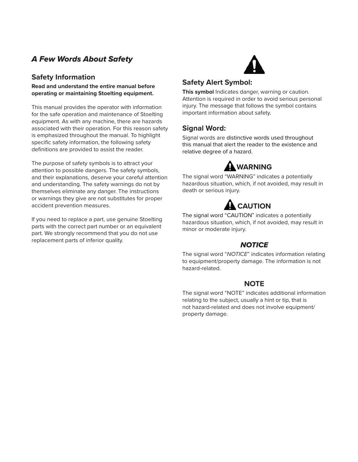## A Few Words About Safety

## **Safety Information**

**Read and understand the entire manual before operating or maintaining Stoelting equipment.**

This manual provides the operator with information for the safe operation and maintenance of Stoelting equipment. As with any machine, there are hazards associated with their operation. For this reason safety is emphasized throughout the manual. To highlight specific safety information, the following safety definitions are provided to assist the reader.

The purpose of safety symbols is to attract your attention to possible dangers. The safety symbols, and their explanations, deserve your careful attention and understanding. The safety warnings do not by themselves eliminate any danger. The instructions or warnings they give are not substitutes for proper accident prevention measures.

If you need to replace a part, use genuine Stoelting parts with the correct part number or an equivalent part. We strongly recommend that you do not use replacement parts of inferior quality.



## **Safety Alert Symbol:**

**This symbol** Indicates danger, warning or caution. Attention is required in order to avoid serious personal injury. The message that follows the symbol contains important information about safety.

## **Signal Word:**

Signal words are distinctive words used throughout this manual that alert the reader to the existence and relative degree of a hazard.

# **WARNING**

The signal word "WARNING" indicates a potentially hazardous situation, which, if not avoided, may result in death or serious injury.

# **CAUTION**

The signal word "CAUTION" indicates a potentially hazardous situation, which, if not avoided, may result in minor or moderate injury.

## **NOTICE**

The signal word "NOTICE" indicates information relating to equipment/property damage. The information is not hazard-related.

## **NOTE**

The signal word "NOTE" indicates additional information relating to the subject, usually a hint or tip, that is not hazard-related and does not involve equipment/ property damage.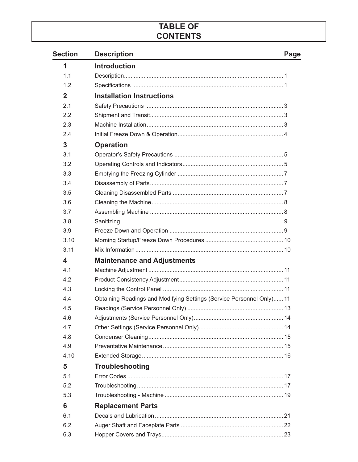## **TABLE OF CONTENTS**

| <b>Section</b>          | <b>Description</b>                                                    | Page |
|-------------------------|-----------------------------------------------------------------------|------|
| 1                       | <b>Introduction</b>                                                   |      |
| 1.1                     |                                                                       |      |
| 1.2                     |                                                                       |      |
| $\mathbf{2}$            | <b>Installation Instructions</b>                                      |      |
| 2.1                     |                                                                       |      |
| 2.2                     |                                                                       |      |
| 2.3                     |                                                                       |      |
| 2.4                     |                                                                       |      |
| 3                       | <b>Operation</b>                                                      |      |
| 3.1                     |                                                                       |      |
| 3.2                     |                                                                       |      |
| 3.3                     |                                                                       |      |
| 3.4                     |                                                                       |      |
| 3.5                     |                                                                       |      |
| 3.6                     |                                                                       |      |
| 3.7                     |                                                                       |      |
| 3.8                     |                                                                       |      |
| 3.9                     |                                                                       |      |
| 3.10                    |                                                                       |      |
| 3.11                    |                                                                       |      |
| $\overline{\mathbf{4}}$ | <b>Maintenance and Adjustments</b>                                    |      |
| 4.1                     |                                                                       |      |
| 4.2                     |                                                                       |      |
| 4.3                     |                                                                       |      |
| 4.4                     | Obtaining Readings and Modifying Settings (Service Personnel Only) 11 |      |
| 4.5                     |                                                                       |      |
| 4.6                     |                                                                       |      |
| 4.7                     |                                                                       |      |
| 4.8                     |                                                                       |      |
| 4.9                     |                                                                       |      |
| 4.10                    |                                                                       |      |
| 5                       | <b>Troubleshooting</b>                                                |      |
| 5.1                     |                                                                       |      |
| 5.2                     |                                                                       |      |
| 5.3                     |                                                                       |      |
| 6                       | <b>Replacement Parts</b>                                              |      |
| 6.1                     |                                                                       |      |
| 6.2                     |                                                                       |      |
| 6.3                     |                                                                       |      |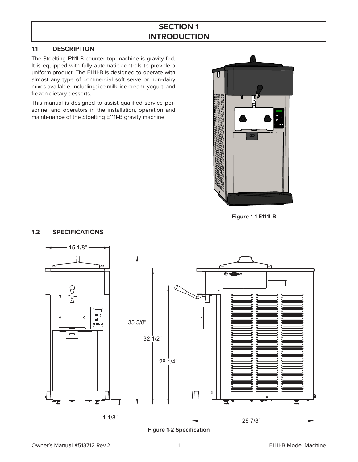## **SECTION 1 INTRODUCTION**

## **1.1 DESCRIPTION**

**1.2 SPECIFICATIONS**

The Stoelting E111I-B counter top machine is gravity fed. It is equipped with fully automatic controls to provide a uniform product. The E111I-B is designed to operate with almost any type of commercial soft serve or non-dairy mixes available, including: ice milk, ice cream, yogurt, and frozen dietary desserts.

This manual is designed to assist qualified service personnel and operators in the installation, operation and maintenance of the Stoelting E111I-B gravity machine.



**Figure 1-1 E111I-B**

# 15 1/8" ഒ **CONTROL** ∏•°  $\ddot{\mathbf{o}}$  $\bullet$  35 5/8" -<br>1800  $\overline{\square}$  32 1/2" 28 1/4" Ŧ 1 1/8" 28 7/8"

#### **Figure 1-2 Specification**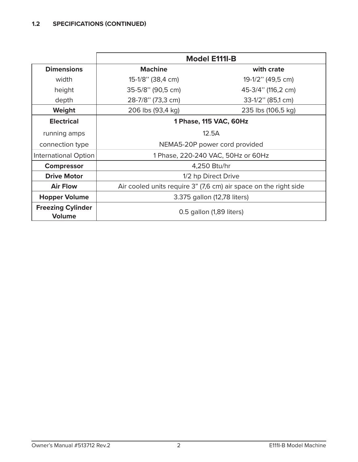|                                           |                                                                  | <b>Model E111I-B</b>               |
|-------------------------------------------|------------------------------------------------------------------|------------------------------------|
| <b>Dimensions</b>                         | <b>Machine</b>                                                   | with crate                         |
| width                                     | 15-1/8" (38,4 cm)                                                | 19-1/2" (49,5 cm)                  |
| height                                    | 35-5/8" (90,5 cm)                                                | 45-3/4" (116,2 cm)                 |
| depth                                     | 28-7/8" (73,3 cm)                                                | 33-1/2" (85,1 cm)                  |
| Weight                                    | 206 lbs (93,4 kg)                                                | 235 lbs (106,5 kg)                 |
| <b>Electrical</b>                         |                                                                  | 1 Phase, 115 VAC, 60Hz             |
| running amps                              | 12.5A                                                            |                                    |
| connection type                           |                                                                  | NEMA5-20P power cord provided      |
| International Option                      |                                                                  | 1 Phase, 220-240 VAC, 50Hz or 60Hz |
| <b>Compressor</b>                         |                                                                  | 4,250 Btu/hr                       |
| <b>Drive Motor</b>                        |                                                                  | 1/2 hp Direct Drive                |
| <b>Air Flow</b>                           | Air cooled units require 3" (7,6 cm) air space on the right side |                                    |
| <b>Hopper Volume</b>                      |                                                                  | 3.375 gallon (12,78 liters)        |
| <b>Freezing Cylinder</b><br><b>Volume</b> |                                                                  | 0.5 gallon (1,89 liters)           |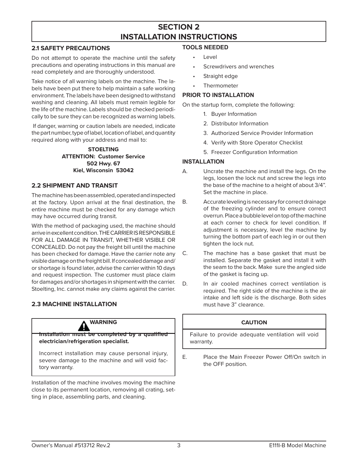## **SECTION 2 INSTALLATION INSTRUCTIONS**

## **2.1 SAFETY PRECAUTIONS**

Do not attempt to operate the machine until the safety precautions and operating instructions in this manual are read completely and are thoroughly understood.

Take notice of all warning labels on the machine. The labels have been put there to help maintain a safe working environment. The labels have been designed to withstand washing and cleaning. All labels must remain legible for the life of the machine. Labels should be checked periodically to be sure they can be recognized as warning labels.

 If danger, warning or caution labels are needed, indicate the part number, type of label, location of label, and quantity required along with your address and mail to:

> **STOELTING ATTENTION: Customer Service 502 Hwy. 67 Kiel, Wisconsin 53042**

## **2.2 SHIPMENT AND TRANSIT**

The machine has been assembled, operated and inspected at the factory. Upon arrival at the final destination, the entire machine must be checked for any damage which may have occurred during transit.

With the method of packaging used, the machine should arrive in excellent condition. THE CARRIER IS RESPONSIBLE FOR ALL DAMAGE IN TRANSIT, WHETHER VISIBLE OR CONCEALED. Do not pay the freight bill until the machine has been checked for damage. Have the carrier note any visible damage on the freight bill. If concealed damage and/ or shortage is found later, advise the carrier within 10 days and request inspection. The customer must place claim for damages and/or shortages in shipment with the carrier. Stoelting, Inc. cannot make any claims against the carrier.

## **2.3 MACHINE INSTALLATION**



**Installation must be completed by a qualified electrician/refrigeration specialist.**

Incorrect installation may cause personal injury, severe damage to the machine and will void factory warranty.

Installation of the machine involves moving the machine close to its permanent location, removing all crating, setting in place, assembling parts, and cleaning.

#### **TOOLS NEEDED**

- Level
- Screwdrivers and wrenches
- Straight edge
- **Thermometer**

### **PRIOR TO INSTALLATION**

On the startup form, complete the following:

- 1. Buyer Information
- 2. Distributor Information
- 3. Authorized Service Provider Information
- 4. Verify with Store Operator Checklist
- 5. Freezer Configuration Information

## **INSTALLATION**

- A. Uncrate the machine and install the legs. On the legs, loosen the lock nut and screw the legs into the base of the machine to a height of about 3/4". Set the machine in place.
- B. Accurate leveling is necessary for correct drainage of the freezing cylinder and to ensure correct overrun. Place a bubble level on top of the machine at each corner to check for level condition. If adjustment is necessary, level the machine by turning the bottom part of each leg in or out then tighten the lock nut.
- C. The machine has a base gasket that must be installed. Separate the gasket and install it with the seam to the back. Make sure the angled side of the gasket is facing up.
- D. In air cooled machines correct ventilation is required. The right side of the machine is the air intake and left side is the discharge. Both sides must have 3" clearance.

## **CAUTION**

Failure to provide adequate ventilation will void warranty.

E. Place the Main Freezer Power Off/On switch in the OFF position.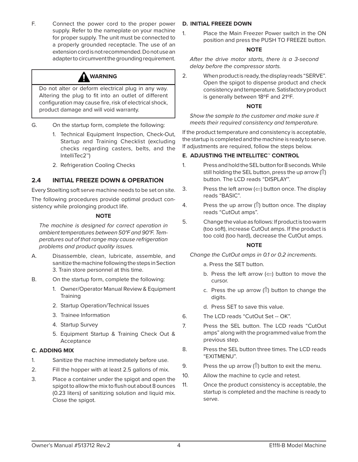F. Connect the power cord to the proper power supply. Refer to the nameplate on your machine for proper supply. The unit must be connected to a properly grounded receptacle. The use of an extension cord is not recommended. Do not use an adapter to circumvent the grounding requirement.



Do not alter or deform electrical plug in any way. Altering the plug to fit into an outlet of different configuration may cause fire, risk of electrical shock, product damage and will void warranty.

- G. On the startup form, complete the following:
	- 1. Technical Equipment Inspection, Check-Out, Startup and Training Checklist (excluding checks regarding casters, belts, and the IntelliTec2™)
	- 2. Refrigeration Cooling Checks

## **2.4 INITIAL FREEZE DOWN & OPERATION**

Every Stoelting soft serve machine needs to be set on site.

The following procedures provide optimal product consistency while prolonging product life.

#### **NOTE**

The machine is designed for correct operation in ambient temperatures between 50°F and 90°F. Temperatures out of that range may cause refrigeration problems and product quality issues.

- A. Disassemble, clean, lubricate, assemble, and sanitize the machine following the steps in Section 3. Train store personnel at this time.
- B. On the startup form, complete the following:
	- 1. Owner/Operator Manual Review & Equipment **Training**
	- 2. Startup Operation/Technical Issues
	- 3. Trainee Information
	- 4. Startup Survey
	- 5. Equipment Startup & Training Check Out & Acceptance

#### **C. ADDING MIX**

- 1. Sanitize the machine immediately before use.
- 2. Fill the hopper with at least 2.5 gallons of mix.
- 3. Place a container under the spigot and open the spigot to allow the mix to flush out about 8 ounces (0.23 liters) of sanitizing solution and liquid mix. Close the spigot.

#### **D. INITIAL FREEZE DOWN**

1. Place the Main Freezer Power switch in the ON position and press the PUSH TO FREEZE button.

#### **NOTE**

After the drive motor starts, there is a 3-second delay before the compressor starts.

2. When product is ready, the display reads "SERVE". Open the spigot to dispense product and check consistency and temperature. Satisfactory product is generally between 18ºF and 21ºF.

#### **NOTE**

Show the sample to the customer and make sure it meets their required consistency and temperature.

If the product temperature and consistency is acceptable, the startup is completed and the machine is ready to serve. If adjustments are required, follow the steps below.

#### **E. ADJUSTING THE INTELLITEC™ CONTROL**

- 1. Press and hold the SEL button for 8 seconds. While still holding the SEL button, press the up arrow  $(1)$ button. The LCD reads "DISPLAY".
- 3. Press the left arrow  $\left(\leftarrow\right)$  button once. The display reads "BASIC".
- 4. Press the up arrow  $(1)$  button once. The display reads "CutOut amps".
- 5. Change the value as follows: If product is too warm (too soft), increase CutOut amps. If the product is too cold (too hard), decrease the CutOut amps.

#### **NOTE**

Change the CutOut amps in 0.1 or 0.2 increments.

- a. Press the SET button.
- b. Press the left arrow  $(\leftarrow)$  button to move the cursor.
- c. Press the up arrow ( $\hat{I}$ ) button to change the digits.
- d. Press SET to save this value.
- 6. The LCD reads "CutOut Set -- OK".
- 7. Press the SEL button. The LCD reads "CutOut amps" along with the programmed value from the previous step.
- 8. Press the SEL button three times. The LCD reads "EXITMENU".
- 9. Press the up arrow ( $\hat{I}$ ) button to exit the menu.
- 10. Allow the machine to cycle and retest.
- 11. Once the product consistency is acceptable, the startup is completed and the machine is ready to serve.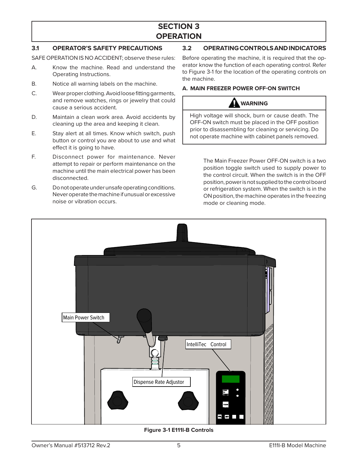## **SECTION 3 OPERATION**

## **3.1 OPERATOR'S SAFETY PRECAUTIONS**

SAFE OPERATION IS NO ACCIDENT; observe these rules:

- A. Know the machine. Read and understand the Operating Instructions.
- B. Notice all warning labels on the machine.
- C. Wear proper clothing. Avoid loose fitting garments, and remove watches, rings or jewelry that could cause a serious accident.
- D. Maintain a clean work area. Avoid accidents by cleaning up the area and keeping it clean.
- E. Stay alert at all times. Know which switch, push button or control you are about to use and what effect it is going to have.
- F. Disconnect power for maintenance. Never attempt to repair or perform maintenance on the machine until the main electrical power has been disconnected.
- G. Do not operate under unsafe operating conditions. Never operate the machine if unusual or excessive noise or vibration occurs.

**3.2 OPERATING CONTROLS AND INDICATORS** 

Before operating the machine, it is required that the operator know the function of each operating control. Refer to Figure 3-1 for the location of the operating controls on the machine.

#### **A. MAIN FREEZER POWER OFF-ON SWITCH**

## **WARNING**

High voltage will shock, burn or cause death. The OFF-ON switch must be placed in the OFF position prior to disassembling for cleaning or servicing. Do not operate machine with cabinet panels removed.

> The Main Freezer Power OFF-ON switch is a two position toggle switch used to supply power to the control circuit. When the switch is in the OFF position, power is not supplied to the control board or refrigeration system. When the switch is in the ON position, the machine operates in the freezing mode or cleaning mode.



**Figure 3-1 E111I-B Controls**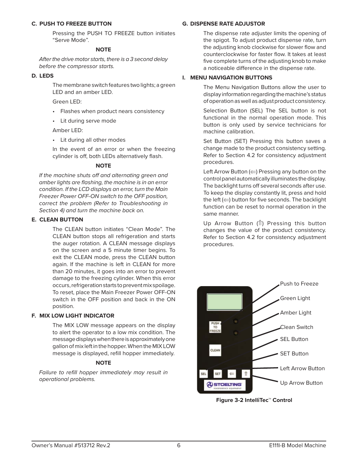#### **C. PUSH TO FREEZE BUTTON**

 Pressing the PUSH TO FREEZE button initiates "Serve Mode".

#### **NOTE**

After the drive motor starts, there is a 3 second delay before the compressor starts.

#### **D. LEDS**

 The membrane switch features two lights; a green LED and an amber LED.

Green LED:

- Flashes when product nears consistency
- Lit during serve mode

Amber LED:

• Lit during all other modes

 In the event of an error or when the freezing cylinder is off, both LEDs alternatively flash.

#### **NOTE**

If the machine shuts off and alternating green and amber lights are flashing, the machine is in an error condition. If the LCD displays an error, turn the Main Freezer Power OFF-ON switch to the OFF position, correct the problem (Refer to Troubleshooting in Section 4) and turn the machine back on.

#### **E. CLEAN BUTTON**

 The CLEAN button initiates "Clean Mode". The CLEAN button stops all refrigeration and starts the auger rotation. A CLEAN message displays on the screen and a 5 minute timer begins. To exit the CLEAN mode, press the CLEAN button again. If the machine is left in CLEAN for more than 20 minutes, it goes into an error to prevent damage to the freezing cylinder. When this error occurs, refrigeration starts to prevent mix spoilage. To reset, place the Main Freezer Power OFF-ON switch in the OFF position and back in the ON position.

#### **F. MIX LOW LIGHT INDICATOR**

 The MIX LOW message appears on the display to alert the operator to a low mix condition. The message displays when there is approximately one gallon of mix left in the hopper. When the MIX LOW message is displayed, refill hopper immediately.

#### **NOTE**

Failure to refill hopper immediately may result in operational problems.

#### **G. DISPENSE RATE ADJUSTOR**

 The dispense rate adjuster limits the opening of the spigot. To adjust product dispense rate, turn the adjusting knob clockwise for slower flow and counterclockwise for faster flow. It takes at least five complete turns of the adjusting knob to make a noticeable difference in the dispense rate.

#### **I. MENU NAVIGATION BUTTONS**

 The Menu Navigation Buttons allow the user to display information regarding the machine's status of operation as well as adjust product consistency.

 Selection Button (SEL) The SEL button is not functional in the normal operation mode. This button is only used by service technicians for machine calibration.

 Set Button (SET) Pressing this button saves a change made to the product consistency setting. Refer to Section 4.2 for consistency adjustment procedures.

Left Arrow Button  $(\leftarrow)$  Pressing any button on the control panel automatically illuminates the display. The backlight turns off several seconds after use. To keep the display constantly lit, press and hold the left  $(\leftarrow)$  button for five seconds. The backlight function can be reset to normal operation in the same manner.

Up Arrow Button  $($  $)$  Pressing this button changes the value of the product consistency. Refer to Section 4.2 for consistency adjustment procedures.



**Figure 3-2 IntelliTec™ Control**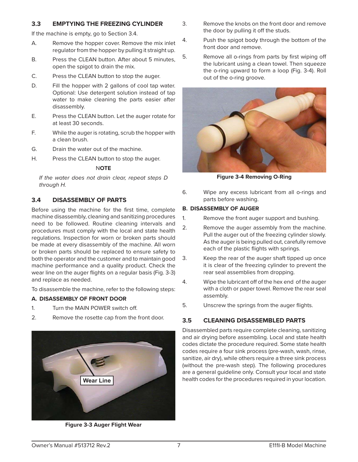#### **3.3 EMPTYING THE FREEZING CYLINDER**

If the machine is empty, go to Section 3.4.

- A. Remove the hopper cover. Remove the mix inlet regulator from the hopper by pulling it straight up.
- B. Press the CLEAN button. After about 5 minutes, open the spigot to drain the mix.
- C. Press the CLEAN button to stop the auger.
- D. Fill the hopper with 2 gallons of cool tap water. Optional: Use detergent solution instead of tap water to make cleaning the parts easier after disassembly.
- E. Press the CLEAN button. Let the auger rotate for at least 30 seconds.
- F. While the auger is rotating, scrub the hopper with a clean brush.
- G. Drain the water out of the machine.
- H. Press the CLEAN button to stop the auger.

### N**OTE**

If the water does not drain clear, repeat steps D through H.

## **3.4 DISASSEMBLY OF PARTS**

Before using the machine for the first time, complete machine disassembly, cleaning and sanitizing procedures need to be followed. Routine cleaning intervals and procedures must comply with the local and state health regulations. Inspection for worn or broken parts should be made at every disassembly of the machine. All worn or broken parts should be replaced to ensure safety to both the operator and the customer and to maintain good machine performance and a quality product. Check the wear line on the auger flights on a regular basis (Fig. 3-3) and replace as needed.

To disassemble the machine, refer to the following steps:

## **A. DISASSEMBLY OF FRONT DOOR**

- 1. Turn the MAIN POWER switch off.
- 2. Remove the rosette cap from the front door.



**Figure 3-3 Auger Flight Wear**

- 3. Remove the knobs on the front door and remove the door by pulling it off the studs.
- 4. Push the spigot body through the bottom of the front door and remove.
- 5. Remove all o-rings from parts by first wiping off the lubricant using a clean towel. Then squeeze the o-ring upward to form a loop (Fig. 3-4). Roll out of the o-ring groove.



**Figure 3-4 Removing O-Ring**

6. Wipe any excess lubricant from all o-rings and parts before washing.

## **B. DISASSEMBLY OF AUGER**

- 1. Remove the front auger support and bushing.
- 2. Remove the auger assembly from the machine. Pull the auger out of the freezing cylinder slowly. As the auger is being pulled out, carefully remove each of the plastic flights with springs.
- 3. Keep the rear of the auger shaft tipped up once it is clear of the freezing cylinder to prevent the rear seal assemblies from dropping.
- 4. Wipe the lubricant off of the hex end of the auger with a cloth or paper towel. Remove the rear seal assembly.
- 5. Unscrew the springs from the auger flights.

## **3.5 CLEANING DISASSEMBLED PARTS**

Disassembled parts require complete cleaning, sanitizing and air drying before assembling. Local and state health codes dictate the procedure required. Some state health codes require a four sink process (pre-wash, wash, rinse, sanitize, air dry), while others require a three sink process (without the pre-wash step). The following procedures are a general guideline only. Consult your local and state **Wear Line Wear Line health codes for the procedures required in your location.**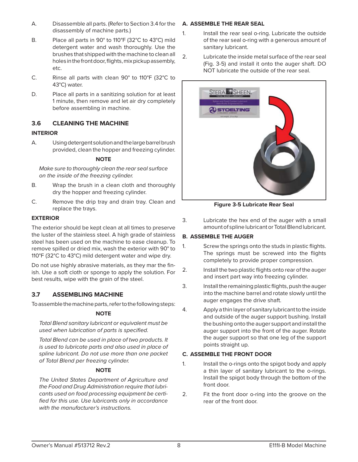- A. Disassemble all parts. (Refer to Section 3.4 for the disassembly of machine parts.)
- B. Place all parts in 90° to 110°F (32°C to 43°C) mild detergent water and wash thoroughly. Use the brushes that shipped with the machine to clean all holes in the front door, flights, mix pickup assembly, etc.
- C. Rinse all parts with clean 90° to 110°F (32°C to 43°C) water.
- D. Place all parts in a sanitizing solution for at least 1 minute, then remove and let air dry completely before assembling in machine.

## **3.6 CLEANING THE MACHINE**

## **INTERIOR**

A. Using detergent solution and the large barrel brush provided, clean the hopper and freezing cylinder.

### **NOTE**

Make sure to thoroughly clean the rear seal surface on the inside of the freezing cylinder.

- B. Wrap the brush in a clean cloth and thoroughly dry the hopper and freezing cylinder.
- C. Remove the drip tray and drain tray. Clean and replace the trays.

## **EXTERIOR**

The exterior should be kept clean at all times to preserve the luster of the stainless steel. A high grade of stainless steel has been used on the machine to ease cleanup. To remove spilled or dried mix, wash the exterior with 90° to 110°F (32°C to 43°C) mild detergent water and wipe dry.

Do not use highly abrasive materials, as they mar the finish. Use a soft cloth or sponge to apply the solution. For best results, wipe with the grain of the steel.

## **3.7 ASSEMBLING MACHINE**

To assemble the machine parts, refer to the following steps:

## **NOTE**

Total Blend sanitary lubricant or equivalent must be used when lubrication of parts is specified.

Total Blend can be used in place of two products. It is used to lubricate parts and also used in place of spline lubricant. Do not use more than one packet of Total Blend per freezing cylinder.

## **NOTE**

The United States Department of Agriculture and the Food and Drug Administration require that lubricants used on food processing equipment be certified for this use. Use lubricants only in accordance with the manufacturer's instructions.

## **A. ASSEMBLE THE REAR SEAL**

- 1. Install the rear seal o-ring. Lubricate the outside of the rear seal o-ring with a generous amount of sanitary lubricant.
- 2. Lubricate the inside metal surface of the rear seal (Fig. 3-5) and install it onto the auger shaft. DO NOT lubricate the outside of the rear seal.



**Figure 3-5 Lubricate Rear Seal**

3. Lubricate the hex end of the auger with a small amount of spline lubricant or Total Blend lubricant.

## **B. ASSEMBLE THE AUGER**

- 1. Screw the springs onto the studs in plastic flights. The springs must be screwed into the flights completely to provide proper compression.
- 2. Install the two plastic flights onto rear of the auger and insert part way into freezing cylinder.
- 3. Install the remaining plastic flights, push the auger into the machine barrel and rotate slowly until the auger engages the drive shaft.
- 4. Apply a thin layer of sanitary lubricant to the inside and outside of the auger support bushing. Install the bushing onto the auger support and install the auger support into the front of the auger. Rotate the auger support so that one leg of the support points straight up.

## **C. ASSEMBLE THE FRONT DOOR**

- 1. Install the o-rings onto the spigot body and apply a thin layer of sanitary lubricant to the o-rings. Install the spigot body through the bottom of the front door.
- 2. Fit the front door o-ring into the groove on the rear of the front door.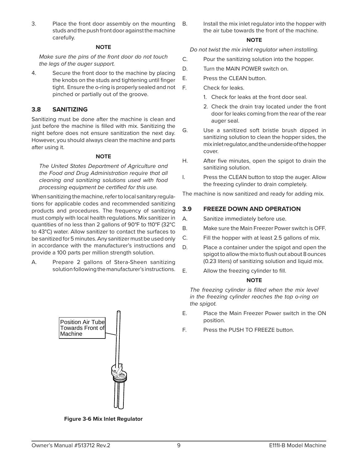3. Place the front door assembly on the mounting studs and the push front door against the machine carefully.

#### **NOTE**

Make sure the pins of the front door do not touch the legs of the auger support.

4. Secure the front door to the machine by placing the knobs on the studs and tightening until finger tight. Ensure the o-ring is properly sealed and not pinched or partially out of the groove.

## **3.8 SANITIZING**

Sanitizing must be done after the machine is clean and just before the machine is filled with mix. Sanitizing the night before does not ensure sanitization the next day. However, you should always clean the machine and parts after using it.

#### **NOTE**

The United States Department of Agriculture and the Food and Drug Administration require that all cleaning and sanitizing solutions used with food processing equipment be certified for this use.

When sanitizing the machine, refer to local sanitary regulations for applicable codes and recommended sanitizing products and procedures. The frequency of sanitizing must comply with local health regulations. Mix sanitizer in quantities of no less than 2 gallons of 90°F to 110°F (32°C to 43°C) water. Allow sanitizer to contact the surfaces to be sanitized for 5 minutes. Any sanitizer must be used only in accordance with the manufacturer's instructions and provide a 100 parts per million strength solution.

A. Prepare 2 gallons of Stera-Sheen sanitizing solution following the manufacturer's instructions.



**Figure 3-6 Mix Inlet Regulator**

B. Install the mix inlet regulator into the hopper with the air tube towards the front of the machine.

#### **NOTE**

Do not twist the mix inlet regulator when installing.

- C. Pour the sanitizing solution into the hopper.
- D. Turn the MAIN POWER switch on.
- E. Press the CLEAN button.

F. Check for leaks.

- 1. Check for leaks at the front door seal.
- 2. Check the drain tray located under the front door for leaks coming from the rear of the rear auger seal.
- G. Use a sanitized soft bristle brush dipped in sanitizing solution to clean the hopper sides, the mix inlet regulator, and the underside of the hopper cover.
- H. After five minutes, open the spigot to drain the sanitizing solution.
- I. Press the CLEAN button to stop the auger. Allow the freezing cylinder to drain completely.

The machine is now sanitized and ready for adding mix.

### **3.9 FREEZE DOWN AND OPERATION**

- A. Sanitize immediately before use.
- B. Make sure the Main Freezer Power switch is OFF.
- C. Fill the hopper with at least 2.5 gallons of mix.
- D. Place a container under the spigot and open the spigot to allow the mix to flush out about 8 ounces (0.23 liters) of sanitizing solution and liquid mix.
- E. Allow the freezing cylinder to fill.

#### **NOTE**

The freezing cylinder is filled when the mix level in the freezing cylinder reaches the top o-ring on the spigot.

- E. Place the Main Freezer Power switch in the ON position.
- F. Press the PUSH TO FREEZE button.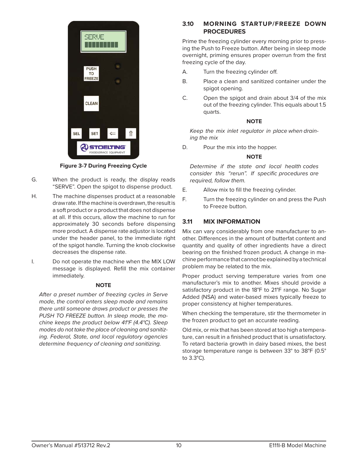

**Figure 3-7 During Freezing Cycle**

- G. When the product is ready, the display reads "SERVE". Open the spigot to dispense product.
- H. The machine dispenses product at a reasonable draw rate. If the machine is overdrawn, the result is a soft product or a product that does not dispense at all. If this occurs, allow the machine to run for approximately 30 seconds before dispensing more product. A dispense rate adjustor is located under the header panel, to the immediate right of the spigot handle. Turning the knob clockwise decreases the dispense rate.
- I. Do not operate the machine when the MIX LOW message is displayed. Refill the mix container immediately.

#### **NOTE**

After a preset number of freezing cycles in Serve mode, the control enters sleep mode and remains there until someone draws product or presses the PUSH TO FREEZE button. In sleep mode, the machine keeps the product below 41°F (4.4°C). Sleep modes do not take the place of cleaning and sanitizing. Federal, State, and local regulatory agencies determine frequency of cleaning and sanitizing.

## **3.10 MORNING STARTUP/FREEZE DOWN PROCEDURES**

Prime the freezing cylinder every morning prior to pressing the Push to Freeze button. After being in sleep mode overnight, priming ensures proper overrun from the first freezing cycle of the day.

- A. Turn the freezing cylinder off.
- B. Place a clean and sanitized container under the spigot opening.
- C. Open the spigot and drain about 3/4 of the mix out of the freezing cylinder. This equals about 1.5 quarts.

#### **NOTE**

Keep the mix inlet regulator in place when draining the mix

D. Pour the mix into the hopper.

#### **NOTE**

Determine if the state and local health codes consider this "rerun". If specific procedures are required, follow them.

- E. Allow mix to fill the freezing cylinder.
- F. Turn the freezing cylinder on and press the Push to Freeze button.

## **3.11 MIX INFORMATION**

Mix can vary considerably from one manufacturer to another. Differences in the amount of butterfat content and quantity and quality of other ingredients have a direct bearing on the finished frozen product. A change in machine performance that cannot be explained by a technical problem may be related to the mix.

Proper product serving temperature varies from one manufacturer's mix to another. Mixes should provide a satisfactory product in the 18°F to 21°F range. No Sugar Added (NSA) and water-based mixes typically freeze to proper consistency at higher temperatures.

When checking the temperature, stir the thermometer in the frozen product to get an accurate reading.

Old mix, or mix that has been stored at too high a temperature, can result in a finished product that is unsatisfactory. To retard bacteria growth in dairy based mixes, the best storage temperature range is between 33° to 38°F (0.5° to 3.3°C).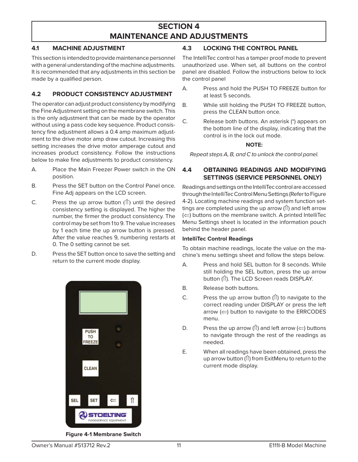## **SECTION 4 MAINTENANCE AND ADJUSTMENTS**

## **4.1 MACHINE ADJUSTMENT**

This section is intended to provide maintenance personnel with a general understanding of the machine adjustments. It is recommended that any adjustments in this section be made by a qualified person.

### **4.2 PRODUCT CONSISTENCY ADJUSTMENT**

The operator can adjust product consistency by modifying the Fine Adjustment setting on the membrane switch. This is the only adjustment that can be made by the operator without using a pass code key sequence. Product consistency fine adjustment allows a 0.4 amp maximum adjustment to the drive motor amp draw cutout. Increasing this setting increases the drive motor amperage cutout and increases product consistency. Follow the instructions below to make fine adjustments to product consistency.

- A. Place the Main Freezer Power switch in the ON position.
- B. Press the SET button on the Control Panel once. Fine Adj appears on the LCD screen.
- C. Press the up arrow button  $(1)$  until the desired consistency setting is displayed. The higher the number, the firmer the product consistency. The control may be set from 1 to 9. The value increases by 1 each time the up arrow button is pressed. After the value reaches 9, numbering restarts at 0. The 0 setting cannot be set.
- D. Press the SET button once to save the setting and return to the current mode display.



**4.3 LOCKING THE CONTROL PANEL**

The IntelliTec control has a tamper proof mode to prevent unauthorized use. When set, all buttons on the control panel are disabled. Follow the instructions below to lock the control panel

- A. Press and hold the PUSH TO FREEZE button for at least 5 seconds.
- B. While still holding the PUSH TO FREEZE button, press the CLEAN button once.
- C. Release both buttons. An asterisk (\*) appears on the bottom line of the display, indicating that the control is in the lock out mode.

#### **NOTE:**

Repeat steps A, B, and C to unlock the control panel.

### **4.4 OBTAINING READINGS AND MODIFYING SETTINGS (SERVICE PERSONNEL ONLY)**

Readings and settings on the IntelliTec control are accessed through the IntelliTec Control Menu Settings (Refer to Figure 4-2). Locating machine readings and system function settings are completed using the up arrow ( $\hat{I}$ ) and left arrow  $(\Leftarrow)$  buttons on the membrane switch. A printed IntelliTec Menu Settings sheet is located in the information pouch behind the header panel.

#### **IntelliTec Control Readings**

To obtain machine readings, locate the value on the machine's menu settings sheet and follow the steps below.

- A. Press and hold SEL button for 8 seconds. While still holding the SEL button, press the up arrow button (1). The LCD Screen reads DISPLAY.
- B. Release both buttons.
- C. Press the up arrow button ( $\hat{I}$ ) to navigate to the correct reading under DISPLAY or press the left arrow  $(\Leftarrow)$  button to navigate to the ERRCODES menu.
- D. Press the up arrow ( $\hat{I}$ ) and left arrow ( $\Leftarrow$ ) buttons to navigate through the rest of the readings as needed.
- E. When all readings have been obtained, press the up arrow button ( $\hat{I}$ ) from ExitMenu to return to the current mode display.

**Figure 4-1 Membrane Switch**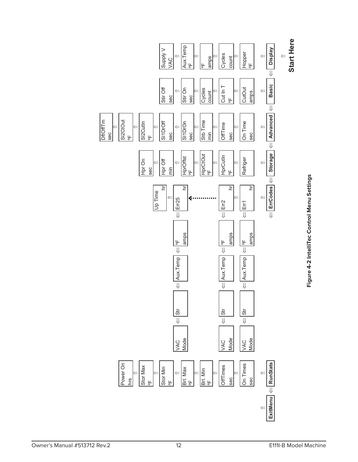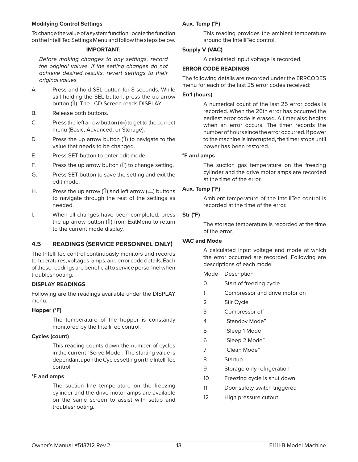#### **Modifying Control Settings**

To change the value of a system function, locate the function on the IntelliTec Settings Menu and follow the steps below.

#### **IMPORTANT:**

Before making changes to any settings, record the original values. If the setting changes do not achieve desired results, revert settings to their original values.

- A. Press and hold SEL button for 8 seconds. While still holding the SEL button, press the up arrow button (1). The LCD Screen reads DISPLAY.
- B. Release both buttons.
- C. Press the left arrow button  $\left(\leftarrow\right)$  to get to the correct menu (Basic, Advanced, or Storage).
- D. Press the up arrow button  $($ f) to navigate to the value that needs to be changed.
- E. Press SET button to enter edit mode.
- F. Press the up arrow button  $( \hat{I} )$  to change setting.
- G. Press SET button to save the setting and exit the edit mode.
- H. Press the up arrow ( $\hat{I}$ ) and left arrow ( $\Leftarrow$ ) buttons to navigate through the rest of the settings as needed.
- I. When all changes have been completed, press the up arrow button ( $\hat{I}$ ) from ExitMenu to return to the current mode display.

## **4.5 READINGS (SERVICE PERSONNEL ONLY)**

The IntelliTec control continuously monitors and records temperatures, voltages, amps, and error code details. Each of these readings are beneficial to service personnel when troubleshooting.

#### **DISPLAY READINGS**

Following are the readings available under the DISPLAY menu:

#### **Hopper (°F)**

 The temperature of the hopper is constantly monitored by the IntelliTec control.

#### **Cycles (count)**

 This reading counts down the number of cycles in the current "Serve Mode". The starting value is dependant upon the Cycles setting on the IntelliTec control.

#### **°F and amps**

 The suction line temperature on the freezing cylinder and the drive motor amps are available on the same screen to assist with setup and troubleshooting.

#### **Aux. Temp (°F)**

 This reading provides the ambient temperature around the IntelliTec control.

#### **Supply V (VAC)**

A calculated input voltage is recorded.

#### **ERROR CODE READINGS**

The following details are recorded under the ERRCODES menu for each of the last 25 error codes received:

#### **Err1 (hours)**

 A numerical count of the last 25 error codes is recorded. When the 26th error has occurred the earliest error code is erased. A timer also begins when an error occurs. The timer records the number of hours since the error occurred. If power to the machine is interrupted, the timer stops until power has been restored.

#### **°F and amps**

 The suction gas temperature on the freezing cylinder and the drive motor amps are recorded at the time of the error.

#### **Aux. Temp (°F)**

 Ambient temperature of the IntelliTec control is recorded at the time of the error.

## **Str (°F)**

 The storage temperature is recorded at the time of the error.

## **VAC and Mode**

 A calculated input voltage and mode at which the error occurred are recorded. Following are descriptions of each mode:

Mode Description

- 0 Start of freezing cycle
- 1 Compressor and drive motor on
- 2 Stir Cycle
- 3 Compressor off
- 4 "Standby Mode"
- 5 "Sleep 1 Mode"
- 6 "Sleep 2 Mode"
- 7 "Clean Mode"
- 8 Startup
- 9 Storage only refrigeration
- 10 Freezing cycle is shut down
- 11 Door safety switch triggered
- 12 High pressure cutout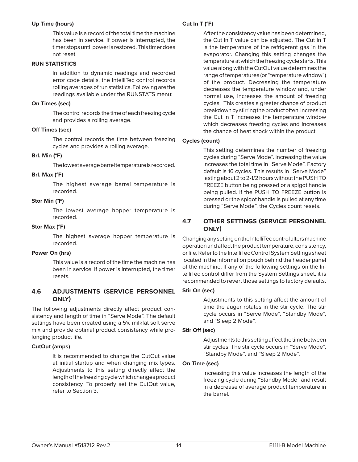#### **Up Time (hours)**

 This value is a record of the total time the machine has been in service. If power is interrupted, the timer stops until power is restored. This timer does not reset.

#### **RUN STATISTICS**

 In addition to dynamic readings and recorded error code details, the IntelliTec control records rolling averages of run statistics. Following are the readings available under the RUNSTATS menu:

#### **On Times (sec)**

 The control records the time of each freezing cycle and provides a rolling average.

#### **Off Times (sec)**

 The control records the time between freezing cycles and provides a rolling average.

#### **Brl. Min (°F)**

The lowest average barrel temperature is recorded.

#### **Brl. Max (°F)**

 The highest average barrel temperature is recorded.

#### **Stor Min (°F)**

 The lowest average hopper temperature is recorded.

#### **Stor Max (°F)**

 The highest average hopper temperature is recorded.

#### **Power On (hrs)**

 This value is a record of the time the machine has been in service. If power is interrupted, the timer resets.

### **4.6 ADJUSTMENTS (SERVICE PERSONNEL ONLY)**

The following adjustments directly affect product consistency and length of time in "Serve Mode". The default settings have been created using a 5% milkfat soft serve mix and provide optimal product consistency while prolonging product life.

#### **CutOut (amps)**

 It is recommended to change the CutOut value at initial startup and when changing mix types. Adjustments to this setting directly affect the length of the freezing cycle which changes product consistency. To properly set the CutOut value, refer to Section 3.

### **Cut In T (°F)**

 After the consistency value has been determined, the Cut In T value can be adjusted. The Cut In T is the temperature of the refrigerant gas in the evaporator. Changing this setting changes the temperature at which the freezing cycle starts. This value along with the CutOut value determines the range of temperatures (or "temperature window") of the product. Decreasing the temperature decreases the temperature window and, under normal use, increases the amount of freezing cycles. This creates a greater chance of product breakdown by stirring the product often. Increasing the Cut In T increases the temperature window which decreases freezing cycles and increases the chance of heat shock within the product.

#### **Cycles (count)**

 This setting determines the number of freezing cycles during "Serve Mode". Increasing the value increases the total time in "Serve Mode". Factory default is 16 cycles. This results in "Serve Mode" lasting about 2 to 2-1/2 hours without the PUSH TO FREEZE button being pressed or a spigot handle being pulled. If the PUSH TO FREEZE button is pressed or the spigot handle is pulled at any time during "Serve Mode", the Cycles count resets.

## **4.7 OTHER SETTINGS (SERVICE PERSONNEL ONLY)**

Changing any setting on the IntelliTec control alters machine operation and affect the product temperature, consistency, or life. Refer to the IntelliTec Control System Settings sheet located in the information pouch behind the header panel of the machine. If any of the following settings on the IntelliTec control differ from the System Settings sheet, it is recommended to revert those settings to factory defaults.

#### **Stir On (sec)**

Adjustments to this setting affect the amount of time the auger rotates in the stir cycle. The stir cycle occurs in "Serve Mode", "Standby Mode", and "Sleep 2 Mode".

#### **Stir Off (sec)**

Adjustments to this setting affect the time between stir cycles. The stir cycle occurs in "Serve Mode", "Standby Mode", and "Sleep 2 Mode".

#### **On Time (sec)**

 Increasing this value increases the length of the freezing cycle during "Standby Mode" and result in a decrease of average product temperature in the barrel.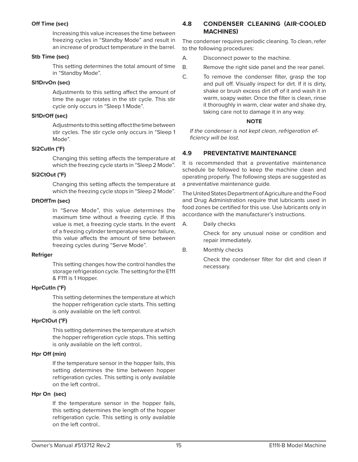#### **Off Time (sec)**

 Increasing this value increases the time between freezing cycles in "Standby Mode" and result in an increase of product temperature in the barrel.

#### **Stb Time (sec)**

 This setting determines the total amount of time in "Standby Mode".

#### **Sl1DrvOn (sec)**

Adjustments to this setting affect the amount of time the auger rotates in the stir cycle. This stir cycle only occurs in "Sleep 1 Mode".

#### **Sl1DrOff (sec)**

Adjustments to this setting affect the time between stir cycles. The stir cycle only occurs in "Sleep 1 Mode".

#### **Sl2CutIn (°F)**

Changing this setting affects the temperature at which the freezing cycle starts in "Sleep 2 Mode".

#### **Sl2CtOut (°F)**

Changing this setting affects the temperature at which the freezing cycle stops in "Sleep 2 Mode".

#### **DftOff Tm (sec)**

 In "Serve Mode", this value determines the maximum time without a freezing cycle. If this value is met, a freezing cycle starts. In the event of a freezing cylinder temperature sensor failure, this value affects the amount of time between freezing cycles during "Serve Mode".

#### **Refriger**

 This setting changes how the control handles the storage refrigeration cycle. The setting for the E111 & F111 is 1 Hopper.

#### **HprCutIn (°F)**

 This setting determines the temperature at which the hopper refrigeration cycle starts. This setting is only available on the left control.

#### **HprCtOut (°F)**

 This setting determines the temperature at which the hopper refrigeration cycle stops. This setting is only available on the left control..

#### **Hpr Off (min)**

 If the temperature sensor in the hopper fails, this setting determines the time between hopper refrigeration cycles. This setting is only available on the left control..

#### **Hpr On (sec)**

 If the temperature sensor in the hopper fails, this setting determines the length of the hopper refrigeration cycle. This setting is only available on the left control..

## **4.8 CONDENSER CLEANING (AIR-COOLED MACHINES)**

The condenser requires periodic cleaning. To clean, refer to the following procedures:

- A. Disconnect power to the machine.
- B. Remove the right side panel and the rear panel.
- C. To remove the condenser filter, grasp the top and pull off. Visually inspect for dirt. If it is dirty, shake or brush excess dirt off of it and wash it in warm, soapy water. Once the filter is clean, rinse it thoroughly in warm, clear water and shake dry, taking care not to damage it in any way.

#### **NOTE**

If the condenser is not kept clean, refrigeration efficiency will be lost.

## **4.9 PREVENTATIVE MAINTENANCE**

It is recommended that a preventative maintenance schedule be followed to keep the machine clean and operating properly. The following steps are suggested as a preventative maintenance guide.

The United States Department of Agriculture and the Food and Drug Administration require that lubricants used in food zones be certified for this use. Use lubricants only in accordance with the manufacturer's instructions.

A. Daily checks

 Check for any unusual noise or condition and repair immediately.

#### B. Monthly checks

Check the condenser filter for dirt and clean if necessary.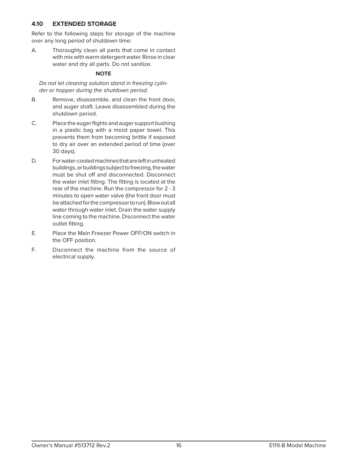#### **4.10 EXTENDED STORAGE**

Refer to the following steps for storage of the machine over any long period of shutdown time:

A. Thoroughly clean all parts that come in contact with mix with warm detergent water. Rinse in clear water and dry all parts. Do not sanitize.

## **NOTE**

Do not let cleaning solution stand in freezing cylinder or hopper during the shutdown period.

- B. Remove, disassemble, and clean the front door, and auger shaft. Leave disassembled during the shutdown period.
- C. Place the auger flights and auger support bushing in a plastic bag with a moist paper towel. This prevents them from becoming brittle if exposed to dry air over an extended period of time (over 30 days).
- D. For water-cooled machines that are left in unheated buildings, or buildings subject to freezing, the water must be shut off and disconnected. Disconnect the water inlet fitting. The fitting is located at the rear of the machine. Run the compressor for 2 - 3 minutes to open water valve (the front door must be attached for the compressor to run). Blow out all water through water inlet. Drain the water supply line coming to the machine. Disconnect the water outlet fitting.
- E. Place the Main Freezer Power OFF/ON switch in the OFF position.
- F. Disconnect the machine from the source of electrical supply.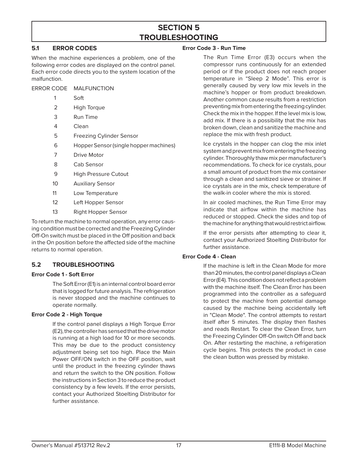## **SECTION 5 TROUBLESHOOTING**

## **5.1 ERROR CODES**

When the machine experiences a problem, one of the following error codes are displayed on the control panel. Each error code directs you to the system location of the malfunction.

ERROR CODE MALFUNCTION

- 1 Soft
- 2 High Torque
- 3 Run Time
- 4 Clean
- 5 Freezing Cylinder Sensor
- 6 Hopper Sensor (single hopper machines)
- 7 Drive Motor
- 8 Cab Sensor
- 9 High Pressure Cutout
- 10 Auxiliary Sensor
- 11 Low Temperature
- 12 Left Hopper Sensor
- 13 Right Hopper Sensor

To return the machine to normal operation, any error causing condition must be corrected and the Freezing Cylinder Off-On switch must be placed in the Off position and back in the On position before the affected side of the machine returns to normal operation.

## **5.2 TROUBLESHOOTING**

#### **Error Code 1 - Soft Error**

 The Soft Error (E1) is an internal control board error that is logged for future analysis. The refrigeration is never stopped and the machine continues to operate normally.

#### **Error Code 2 - High Torque**

 If the control panel displays a High Torque Error (E2), the controller has sensed that the drive motor is running at a high load for 10 or more seconds. This may be due to the product consistency adjustment being set too high. Place the Main Power OFF/ON switch in the OFF position, wait until the product in the freezing cylinder thaws and return the switch to the ON position. Follow the instructions in Section 3 to reduce the product consistency by a few levels. If the error persists, contact your Authorized Stoelting Distributor for further assistance.

#### **Error Code 3 - Run Time**

 The Run Time Error (E3) occurs when the compressor runs continuously for an extended period or if the product does not reach proper temperature in "Sleep 2 Mode". This error is generally caused by very low mix levels in the machine's hopper or from product breakdown. Another common cause results from a restriction preventing mix from entering the freezing cylinder. Check the mix in the hopper. If the level mix is low, add mix. If there is a possibility that the mix has broken down, clean and sanitize the machine and replace the mix with fresh product.

 Ice crystals in the hopper can clog the mix inlet system and prevent mix from entering the freezing cylinder. Thoroughly thaw mix per manufacturer's recommendations. To check for ice crystals, pour a small amount of product from the mix container through a clean and sanitized sieve or strainer. If ice crystals are in the mix, check temperature of the walk-in cooler where the mix is stored.

 In air cooled machines, the Run Time Error may indicate that airflow within the machine has reduced or stopped. Check the sides and top of the machine for anything that would restrict airflow.

 If the error persists after attempting to clear it, contact your Authorized Stoelting Distributor for further assistance.

#### **Error Code 4 - Clean**

 If the machine is left in the Clean Mode for more than 20 minutes, the control panel displays a Clean Error (E4). This condition does not reflect a problem with the machine itself. The Clean Error has been programmed into the controller as a safeguard to protect the machine from potential damage caused by the machine being accidentally left in "Clean Mode". The control attempts to restart itself after 5 minutes. The display then flashes and reads Restart. To clear the Clean Error, turn the Freezing Cylinder Off-On switch Off and back On. After restarting the machine, a refrigeration cycle begins. This protects the product in case the clean button was pressed by mistake.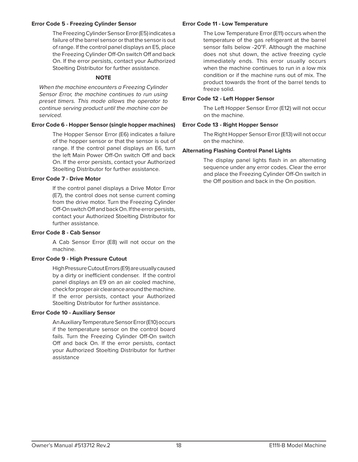#### **Error Code 5 - Freezing Cylinder Sensor**

 The Freezing Cylinder Sensor Error (E5) indicates a failure of the barrel sensor or that the sensor is out of range. If the control panel displays an E5, place the Freezing Cylinder Off-On switch Off and back On. If the error persists, contact your Authorized Stoelting Distributor for further assistance.

#### **NOTE**

When the machine encounters a Freezing Cylinder Sensor Error, the machine continues to run using preset timers. This mode allows the operator to continue serving product until the machine can be serviced.

#### **Error Code 6 - Hopper Sensor (single hopper machines)**

 The Hopper Sensor Error (E6) indicates a failure of the hopper sensor or that the sensor is out of range. If the control panel displays an E6, turn the left Main Power Off-On switch Off and back On. If the error persists, contact your Authorized Stoelting Distributor for further assistance.

#### **Error Code 7 - Drive Motor**

 If the control panel displays a Drive Motor Error (E7), the control does not sense current coming from the drive motor. Turn the Freezing Cylinder Off-On switch Off and back On. If the error persists, contact your Authorized Stoelting Distributor for further assistance.

#### **Error Code 8 - Cab Sensor**

 A Cab Sensor Error (E8) will not occur on the machine.

#### **Error Code 9 - High Pressure Cutout**

 High Pressure Cutout Errors (E9) are usually caused by a dirty or inefficient condenser. If the control panel displays an E9 on an air cooled machine, check for proper air clearance around the machine. If the error persists, contact your Authorized Stoelting Distributor for further assistance.

#### **Error Code 10 - Auxiliary Sensor**

 An Auxiliary Temperature Sensor Error (E10) occurs if the temperature sensor on the control board fails. Turn the Freezing Cylinder Off-On switch Off and back On. If the error persists, contact your Authorized Stoelting Distributor for further assistance

#### **Error Code 11 - Low Temperature**

 The Low Temperature Error (E11) occurs when the temperature of the gas refrigerant at the barrel sensor falls below -20°F. Although the machine does not shut down, the active freezing cycle immediately ends. This error usually occurs when the machine continues to run in a low mix condition or if the machine runs out of mix. The product towards the front of the barrel tends to freeze solid.

#### **Error Code 12 - Left Hopper Sensor**

 The Left Hopper Sensor Error (E12) will not occur on the machine.

#### **Error Code 13 - Right Hopper Sensor**

 The Right Hopper Sensor Error (E13) will not occur on the machine.

### **Alternating Flashing Control Panel Lights**

The display panel lights flash in an alternating sequence under any error codes. Clear the error and place the Freezing Cylinder Off-On switch in the Off position and back in the On position.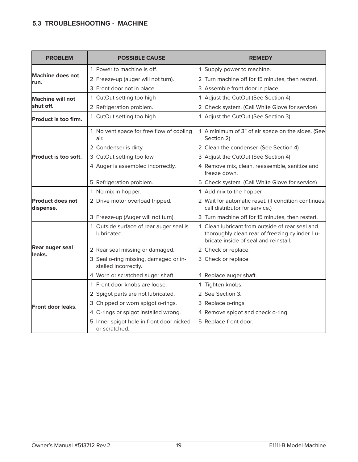## **5.3 TROUBLESHOOTING - MACHINE**

| <b>PROBLEM</b>                       | <b>POSSIBLE CAUSE</b>                                         | <b>REMEDY</b>                                                                                                                               |
|--------------------------------------|---------------------------------------------------------------|---------------------------------------------------------------------------------------------------------------------------------------------|
|                                      | 1 Power to machine is off.                                    | 1 Supply power to machine.                                                                                                                  |
| <b>Machine does not</b><br>run.      | 2 Freeze-up (auger will not turn).                            | 2 Turn machine off for 15 minutes, then restart.                                                                                            |
|                                      | 3 Front door not in place.                                    | 3 Assemble front door in place.                                                                                                             |
| <b>Machine will not</b>              | 1 CutOut setting too high                                     | 1 Adjust the CutOut (See Section 4)                                                                                                         |
| shut off.                            | 2 Refrigeration problem.                                      | 2 Check system. (Call White Glove for service)                                                                                              |
| <b>Product is too firm.</b>          | 1 CutOut setting too high                                     | 1 Adjust the CutOut (See Section 3)                                                                                                         |
|                                      | 1 No vent space for free flow of cooling<br>air.              | 1 A minimum of 3" of air space on the sides. (See<br>Section 2)                                                                             |
|                                      | 2 Condenser is dirty.                                         | 2 Clean the condenser. (See Section 4)                                                                                                      |
| <b>Product is too soft.</b>          | 3 CutOut setting too low                                      | 3 Adjust the CutOut (See Section 4)                                                                                                         |
|                                      | 4 Auger is assembled incorrectly.                             | 4 Remove mix, clean, reassemble, sanitize and<br>freeze down.                                                                               |
|                                      | 5 Refrigeration problem.                                      | 5 Check system. (Call White Glove for service)                                                                                              |
|                                      | 1 No mix in hopper.                                           | 1 Add mix to the hopper.                                                                                                                    |
| <b>Product does not</b><br>dispense. | 2 Drive motor overload tripped.                               | 2 Wait for automatic reset. (If condition continues,<br>call distributor for service.)                                                      |
|                                      | 3 Freeze-up (Auger will not turn).                            | 3 Turn machine off for 15 minutes, then restart.                                                                                            |
|                                      | 1 Outside surface of rear auger seal is<br>lubricated.        | 1 Clean lubricant from outside of rear seal and<br>thoroughly clean rear of freezing cylinder. Lu-<br>bricate inside of seal and reinstall. |
| <b>Rear auger seal</b>               | 2 Rear seal missing or damaged.                               | 2 Check or replace.                                                                                                                         |
| leaks.                               | 3 Seal o-ring missing, damaged or in-<br>stalled incorrectly. | 3 Check or replace.                                                                                                                         |
|                                      | 4 Worn or scratched auger shaft.                              | 4 Replace auger shaft.                                                                                                                      |
|                                      | 1 Front door knobs are loose.                                 | 1 Tighten knobs.                                                                                                                            |
|                                      | 2 Spigot parts are not lubricated.                            | 2 See Section 3.                                                                                                                            |
| Front door leaks.                    | 3 Chipped or worn spigot o-rings.                             | 3 Replace o-rings.                                                                                                                          |
|                                      | 4 O-rings or spigot installed wrong.                          | 4 Remove spigot and check o-ring.                                                                                                           |
|                                      | 5 Inner spigot hole in front door nicked<br>or scratched.     | 5 Replace front door.                                                                                                                       |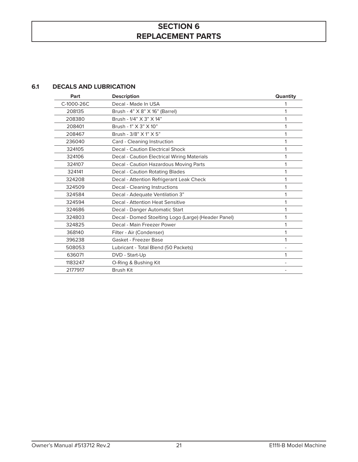## **SECTION 6 REPLACEMENT PARTS**

### **6.1 DECALS AND LUBRICATION**

| Part       | <b>Description</b>                                  | Quantity |
|------------|-----------------------------------------------------|----------|
| C-1000-26C | Decal - Made In USA                                 |          |
| 208135     | Brush - 4" X 8" X 16" (Barrel)                      |          |
| 208380     | Brush - 1/4" X 3" X 14"                             | 1        |
| 208401     | Brush - 1" X 3" X 10"                               | 1        |
| 208467     | Brush - 3/8" X 1" X 5"                              | 1        |
| 236040     | Card - Cleaning Instruction                         | 1        |
| 324105     | Decal - Caution Electrical Shock                    | 1        |
| 324106     | <b>Decal - Caution Electrical Wiring Materials</b>  | 1        |
| 324107     | Decal - Caution Hazardous Moving Parts              | 1        |
| 324141     | <b>Decal - Caution Rotating Blades</b>              | 1        |
| 324208     | Decal - Attention Refrigerant Leak Check            | 1        |
| 324509     | Decal - Cleaning Instructions                       | 1        |
| 324584     | Decal - Adequate Ventilation 3"                     | 1        |
| 324594     | Decal - Attention Heat Sensitive                    | 1        |
| 324686     | Decal - Danger Automatic Start                      | 1        |
| 324803     | Decal - Domed Stoelting Logo (Large) (Header Panel) | 1        |
| 324825     | Decal - Main Freezer Power                          | 1        |
| 368140     | Filter - Air (Condenser)                            | 1        |
| 396238     | Gasket - Freezer Base                               | 1        |
| 508053     | Lubricant - Total Blend (50 Packets)                |          |
| 636071     | DVD - Start-Up                                      | 1        |
| 1183247    | O-Ring & Bushing Kit                                |          |
| 2177917    | <b>Brush Kit</b>                                    |          |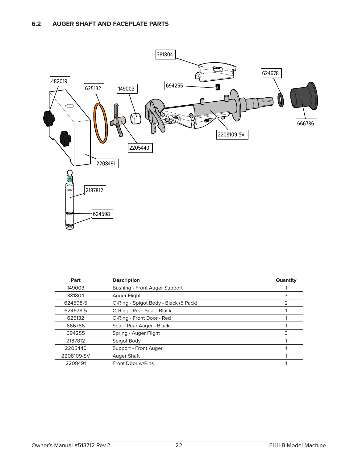

| Part       | <b>Description</b>                    | Quantity |
|------------|---------------------------------------|----------|
| 149003     | Bushing - Front Auger Support         |          |
| 381804     | Auger Flight                          |          |
| 624598-5   | O-Ring - Spigot Body - Black (5 Pack) |          |
| 624678-5   | O-Ring - Rear Seal - Black            |          |
| 625132     | O-Ring - Front Door - Red             |          |
| 666786     | Seal - Rear Auger - Black             |          |
| 694255     | Spring - Auger Flight                 |          |
| 2187812    | Spigot Body                           |          |
| 2205440    | Support - Front Auger                 |          |
| 2208109-SV | Auger Shaft                           |          |
| 2208491    | Front Door w/Pins                     |          |